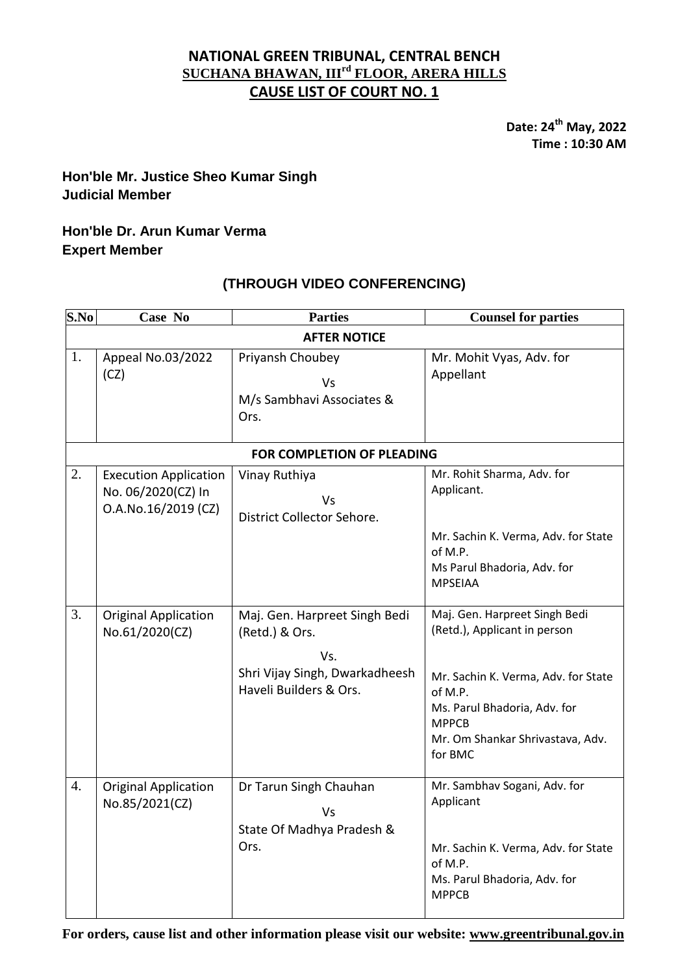## **NATIONAL GREEN TRIBUNAL, CENTRAL BENCH SUCHANA BHAWAN, IIIrd FLOOR, ARERA HILLS CAUSE LIST OF COURT NO. 1**

**Date: 24 th May, 2022 Time : 10:30 AM**

# **Hon'ble Mr. Justice Sheo Kumar Singh Judicial Member**

# **Hon'ble Dr. Arun Kumar Verma Expert Member**

# **(THROUGH VIDEO CONFERENCING)**

| S.No                              | Case No                                                                   | <b>Parties</b>                                                                                                     | <b>Counsel for parties</b>                                                                                                                                                                                     |  |
|-----------------------------------|---------------------------------------------------------------------------|--------------------------------------------------------------------------------------------------------------------|----------------------------------------------------------------------------------------------------------------------------------------------------------------------------------------------------------------|--|
| <b>AFTER NOTICE</b>               |                                                                           |                                                                                                                    |                                                                                                                                                                                                                |  |
| 1.                                | Appeal No.03/2022<br>(CZ)                                                 | Priyansh Choubey<br><b>Vs</b><br>M/s Sambhavi Associates &<br>Ors.                                                 | Mr. Mohit Vyas, Adv. for<br>Appellant                                                                                                                                                                          |  |
| <b>FOR COMPLETION OF PLEADING</b> |                                                                           |                                                                                                                    |                                                                                                                                                                                                                |  |
| 2.                                | <b>Execution Application</b><br>No. 06/2020(CZ) In<br>O.A.No.16/2019 (CZ) | Vinay Ruthiya<br>Vs<br>District Collector Sehore.                                                                  | Mr. Rohit Sharma, Adv. for<br>Applicant.<br>Mr. Sachin K. Verma, Adv. for State<br>of M.P.                                                                                                                     |  |
|                                   |                                                                           |                                                                                                                    | Ms Parul Bhadoria, Adv. for<br><b>MPSEIAA</b>                                                                                                                                                                  |  |
| 3.                                | <b>Original Application</b><br>No.61/2020(CZ)                             | Maj. Gen. Harpreet Singh Bedi<br>(Retd.) & Ors.<br>Vs.<br>Shri Vijay Singh, Dwarkadheesh<br>Haveli Builders & Ors. | Maj. Gen. Harpreet Singh Bedi<br>(Retd.), Applicant in person<br>Mr. Sachin K. Verma, Adv. for State<br>of M.P.<br>Ms. Parul Bhadoria, Adv. for<br><b>MPPCB</b><br>Mr. Om Shankar Shrivastava, Adv.<br>for BMC |  |
| 4.                                | <b>Original Application</b><br>No.85/2021(CZ)                             | Dr Tarun Singh Chauhan<br>Vs<br>State Of Madhya Pradesh &<br>Ors.                                                  | Mr. Sambhav Sogani, Adv. for<br>Applicant<br>Mr. Sachin K. Verma, Adv. for State<br>of M.P.<br>Ms. Parul Bhadoria, Adv. for<br><b>MPPCB</b>                                                                    |  |

**For orders, cause list and other information please visit our website: [www.greentribunal.gov.in](http://www.greentribunal.gov.in/)**